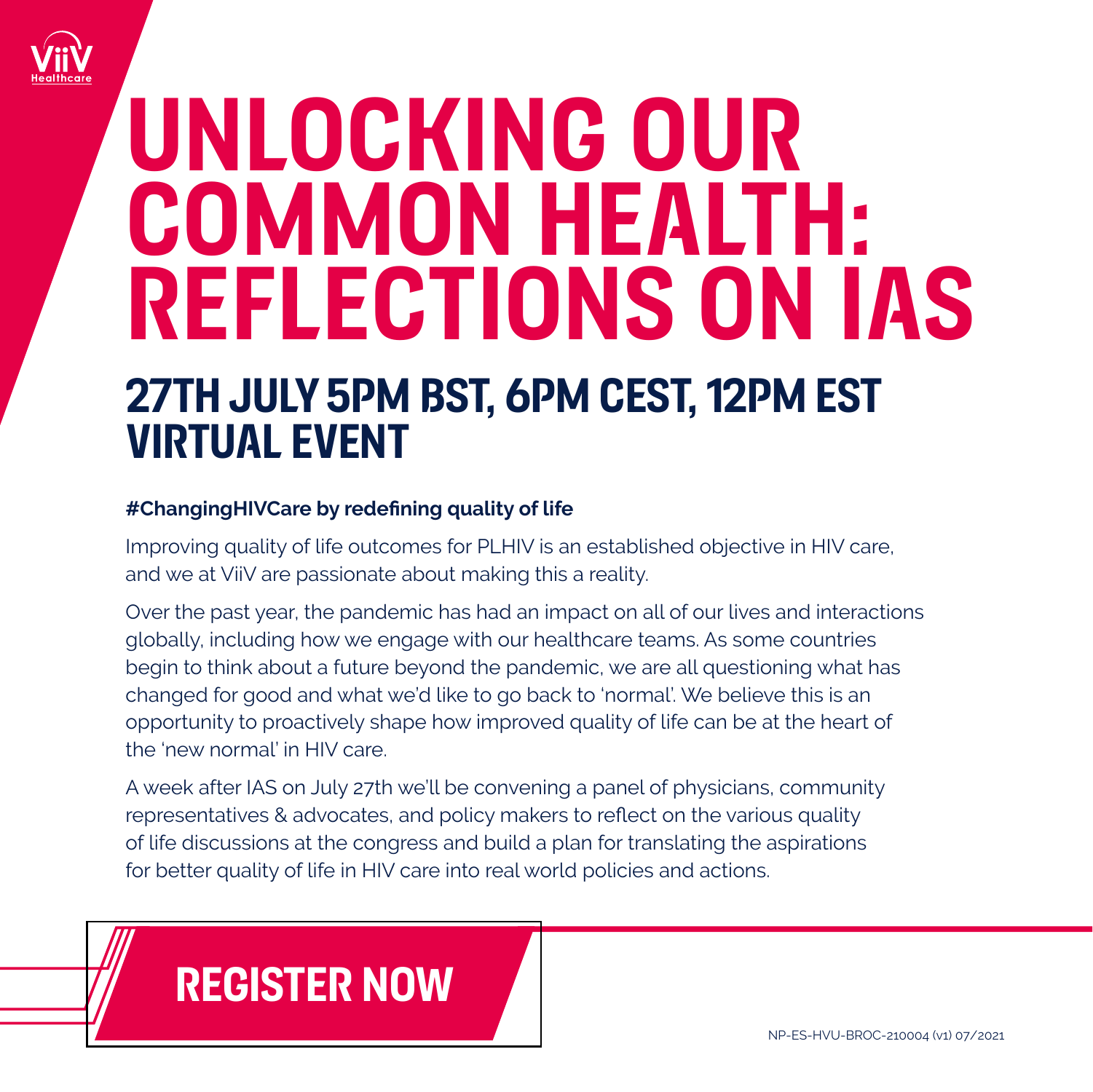

### **UNLOCKING OUR COMMON HEALTH: REFLECTIONS ON IAS**

### **27TH JULY 5PM BST, 6PM CEST, 12PM EST VIRTUAL EVENT**

#### **#ChangingHIVCare by redefining quality of life**

Improving quality of life outcomes for PLHIV is an established objective in HIV care, and we at ViiV are passionate about making this a reality.

Over the past year, the pandemic has had an impact on all of our lives and interactions globally, including how we engage with our healthcare teams. As some countries begin to think about a future beyond the pandemic, we are all questioning what has changed for good and what we'd like to go back to 'normal'. We believe this is an opportunity to proactively shape how improved quality of life can be at the heart of the 'new normal' in HIV care.

A week after IAS on July 27th we'll be convening a panel of physicians, community representatives & advocates, and policy makers to reflect on the various quality of life discussions at the congress and build a plan for translating the aspirations for better quality of life in HIV care into real world policies and actions.

### **[REGISTER NOW](https://event.on24.com/eventRegistration/EventLobbyServlet?target=reg20.jsp&partnerref=community&eventid=3251244&sessionid=1&key=30C24B21F0C7D13EAD3106C1E5EDAF7C®Tag=&V2=false&sourcepage=register)**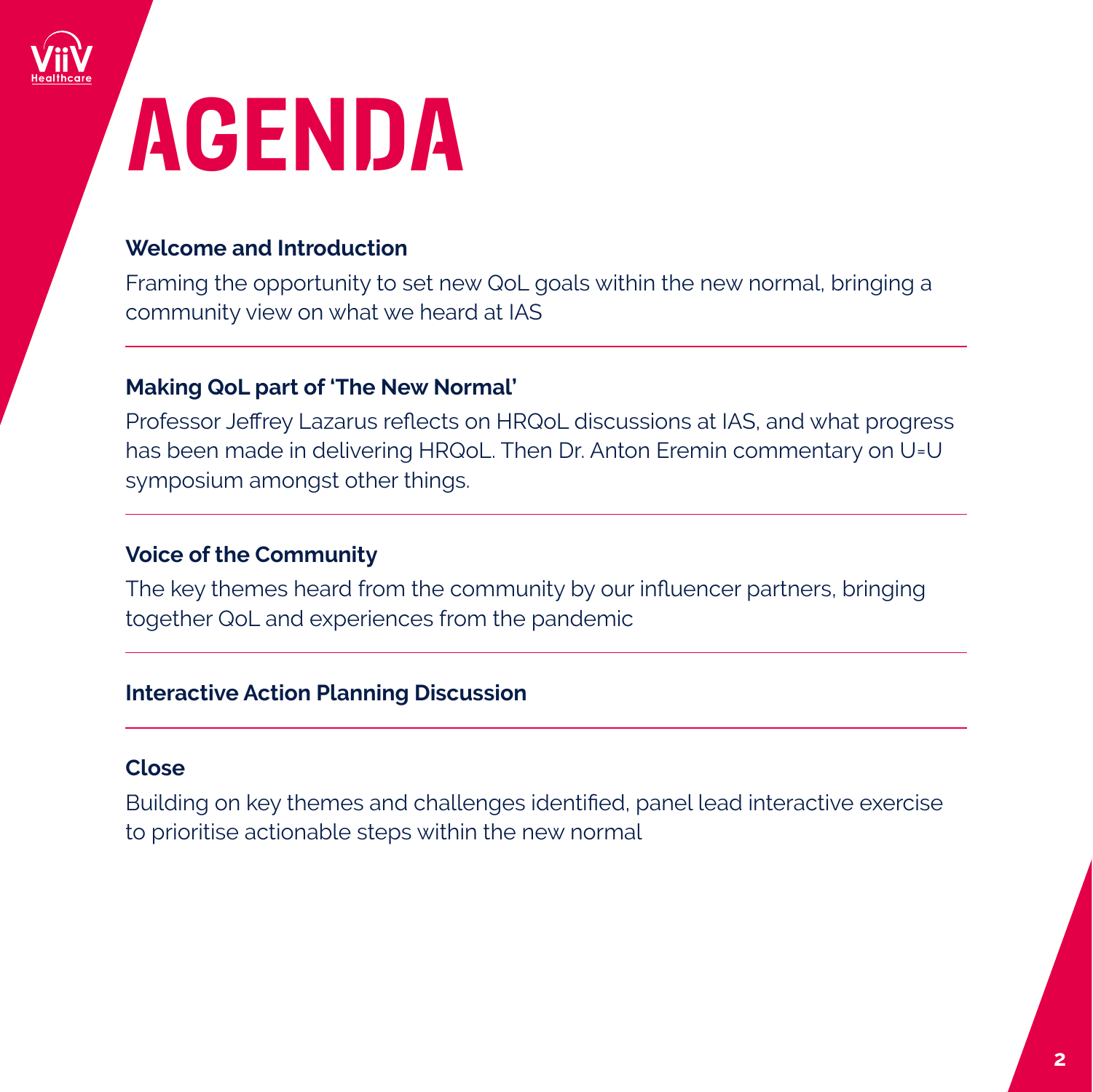

## **AGENDA**

### **Welcome and Introduction**

Framing the opportunity to set new QoL goals within the new normal, bringing a community view on what we heard at IAS

#### **Making QoL part of 'The New Normal'**

Professor Jeffrey Lazarus reflects on HRQoL discussions at IAS, and what progress has been made in delivering HRQoL. Then Dr. Anton Eremin commentary on U=U symposium amongst other things.

### **Voice of the Community**

The key themes heard from the community by our influencer partners, bringing together QoL and experiences from the pandemic

#### **Interactive Action Planning Discussion**

#### **Close**

Building on key themes and challenges identified, panel lead interactive exercise to prioritise actionable steps within the new normal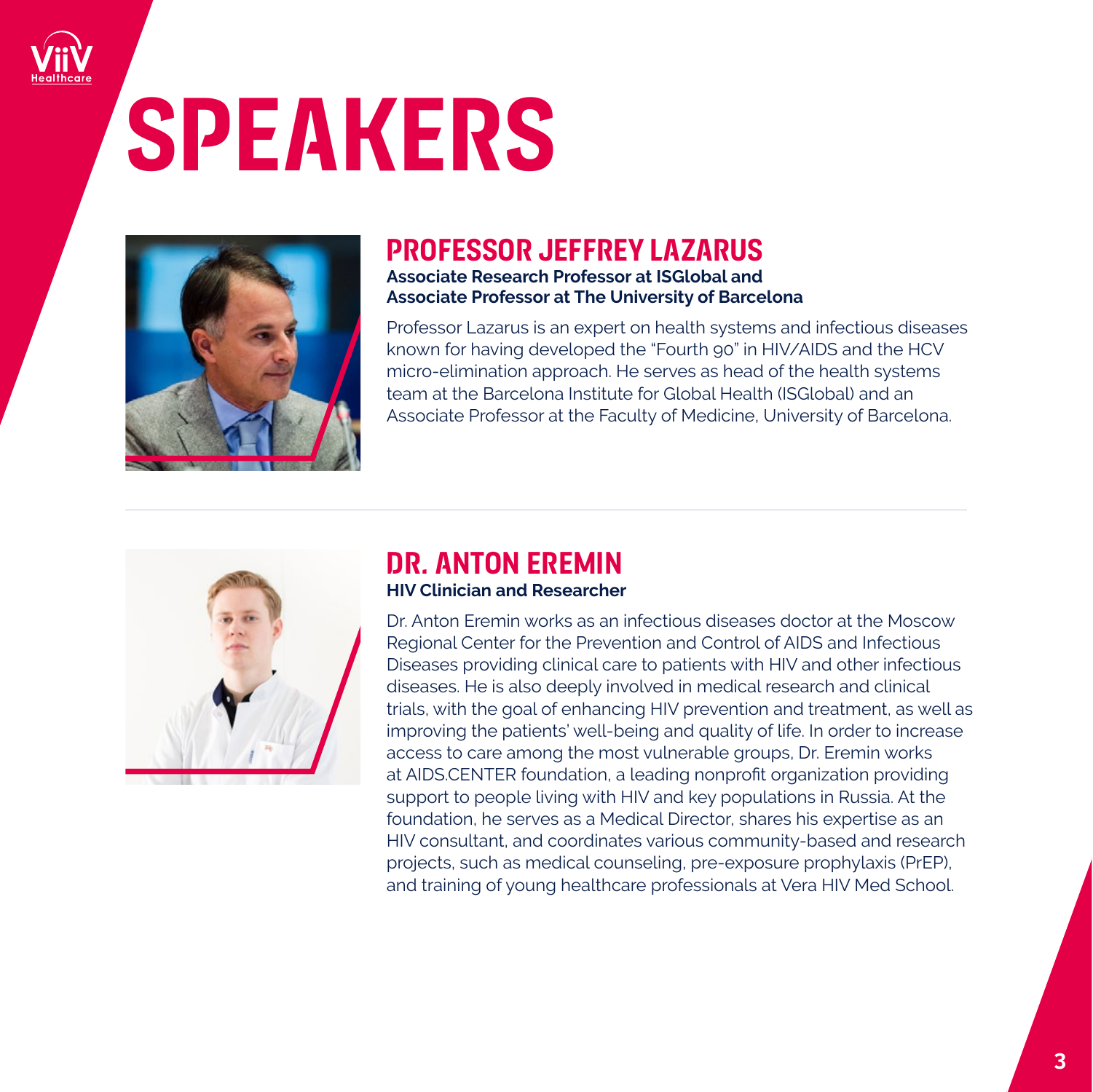# **SPEAKERS**



### **PROFESSOR JEFFREY LAZARUS**

**Associate Research Professor at ISGlobal and Associate Professor at The University of Barcelona**

Professor Lazarus is an expert on health systems and infectious diseases known for having developed the "Fourth 90" in HIV/AIDS and the HCV micro-elimination approach. He serves as head of the health systems team at the Barcelona Institute for Global Health (ISGlobal) and an Associate Professor at the Faculty of Medicine, University of Barcelona.



### **DR. ANTON EREMIN**

#### **HIV Clinician and Researcher**

Dr. Anton Eremin works as an infectious diseases doctor at the Moscow Regional Center for the Prevention and Control of AIDS and Infectious Diseases providing clinical care to patients with HIV and other infectious diseases. He is also deeply involved in medical research and clinical trials, with the goal of enhancing HIV prevention and treatment, as well as improving the patients' well-being and quality of life. In order to increase access to care among the most vulnerable groups, Dr. Eremin works at AIDS.CENTER foundation, a leading nonprofit organization providing support to people living with HIV and key populations in Russia. At the foundation, he serves as a Medical Director, shares his expertise as an HIV consultant, and coordinates various community-based and research projects, such as medical counseling, pre-exposure prophylaxis (PrEP), and training of young healthcare professionals at Vera HIV Med School.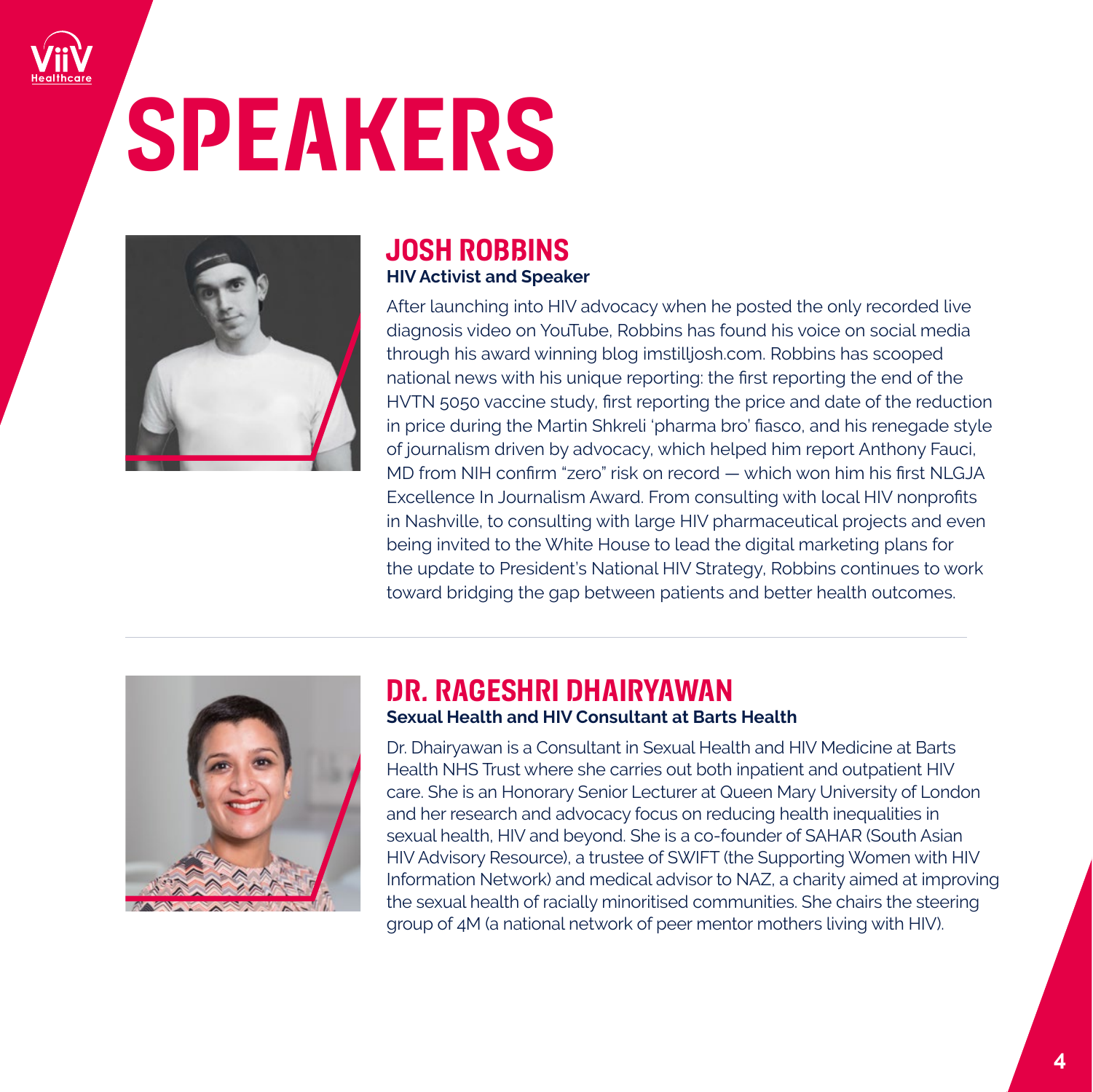# **SPEAKERS**



### **JOSH ROBBINS HIV Activist and Speaker**

After launching into HIV advocacy when he posted the only recorded live diagnosis video on YouTube, Robbins has found his voice on social media through his award winning blog imstilljosh.com. Robbins has scooped national news with his unique reporting: the first reporting the end of the HVTN 5050 vaccine study, first reporting the price and date of the reduction in price during the Martin Shkreli 'pharma bro' fiasco, and his renegade style of journalism driven by advocacy, which helped him report Anthony Fauci, MD from NIH confirm "zero" risk on record — which won him his first NLGJA Excellence In Journalism Award. From consulting with local HIV nonprofits in Nashville, to consulting with large HIV pharmaceutical projects and even being invited to the White House to lead the digital marketing plans for the update to President's National HIV Strategy, Robbins continues to work toward bridging the gap between patients and better health outcomes.



### **Sexual Health and HIV Consultant at Barts Health DR. RAGESHRI DHAIRYAWAN**

Dr. Dhairyawan is a Consultant in Sexual Health and HIV Medicine at Barts Health NHS Trust where she carries out both inpatient and outpatient HIV care. She is an Honorary Senior Lecturer at Queen Mary University of London and her research and advocacy focus on reducing health inequalities in sexual health, HIV and beyond. She is a co-founder of SAHAR (South Asian HIV Advisory Resource), a trustee of SWIFT (the Supporting Women with HIV Information Network) and medical advisor to NAZ, a charity aimed at improving the sexual health of racially minoritised communities. She chairs the steering group of 4M (a national network of peer mentor mothers living with HIV).